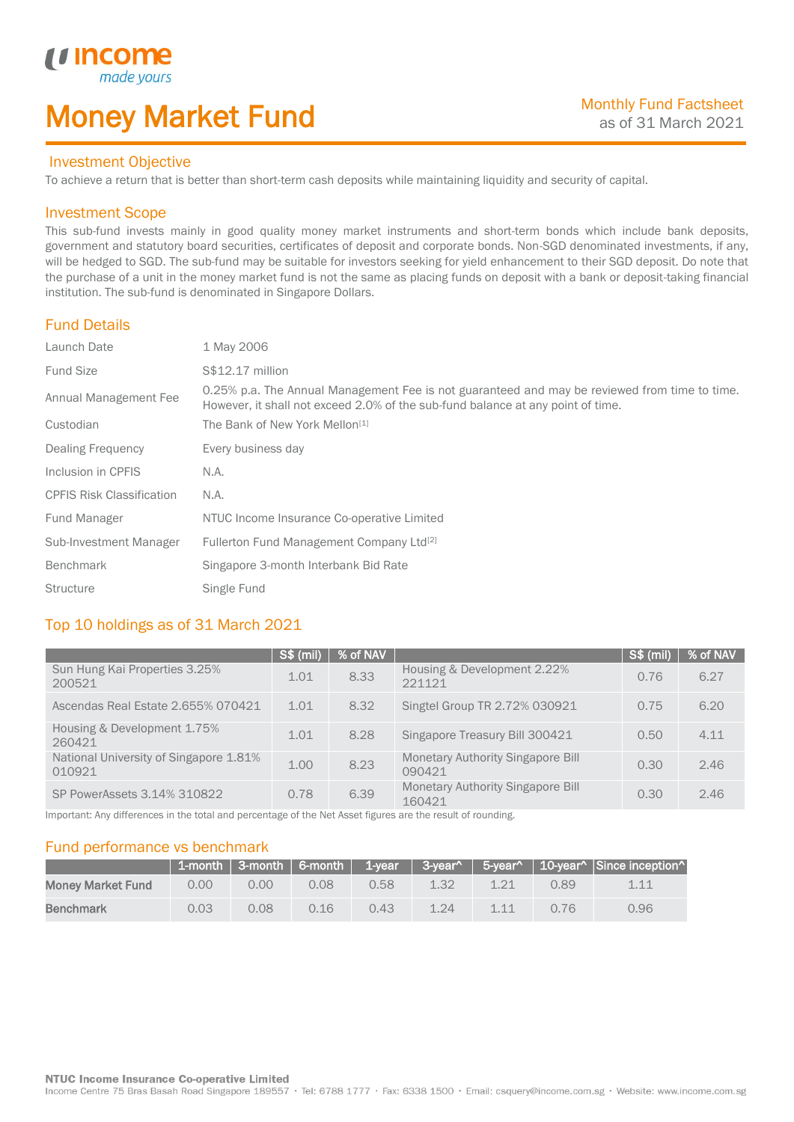# Money Market Fund

#### Investment Objective

made<sub>1</sub>

To achieve a return that is better than short-term cash deposits while maintaining liquidity and security of capital.

#### Investment Scope

*u* incom

I

This sub-fund invests mainly in good quality money market instruments and short-term bonds which include bank deposits, government and statutory board securities, certificates of deposit and corporate bonds. Non-SGD denominated investments, if any, will be hedged to SGD. The sub-fund may be suitable for investors seeking for yield enhancement to their SGD deposit. Do note that the purchase of a unit in the money market fund is not the same as placing funds on deposit with a bank or deposit-taking financial institution. The sub-fund is denominated in Singapore Dollars.

### Fund Details

| Launch Date                      | 1 May 2006                                                                                                                                                                       |
|----------------------------------|----------------------------------------------------------------------------------------------------------------------------------------------------------------------------------|
| <b>Fund Size</b>                 | S\$12.17 million                                                                                                                                                                 |
| Annual Management Fee            | 0.25% p.a. The Annual Management Fee is not guaranteed and may be reviewed from time to time.<br>However, it shall not exceed 2.0% of the sub-fund balance at any point of time. |
| Custodian                        | The Bank of New York Mellon <sup>[1]</sup>                                                                                                                                       |
| Dealing Frequency                | Every business day                                                                                                                                                               |
| Inclusion in CPFIS               | N.A.                                                                                                                                                                             |
| <b>CPFIS Risk Classification</b> | N.A.                                                                                                                                                                             |
| Fund Manager                     | NTUC Income Insurance Co-operative Limited                                                                                                                                       |
| Sub-Investment Manager           | Fullerton Fund Management Company Ltd <sup>[2]</sup>                                                                                                                             |
| <b>Benchmark</b>                 | Singapore 3-month Interbank Bid Rate                                                                                                                                             |
| <b>Structure</b>                 | Single Fund                                                                                                                                                                      |

## Top 10 holdings as of 31 March 2021

|                                                  | S\$ (mil) | │ % of NAV |                                                    | $S$ \$ (mil) | % of NAV |
|--------------------------------------------------|-----------|------------|----------------------------------------------------|--------------|----------|
| Sun Hung Kai Properties 3.25%<br>200521          | 1.01      | 8.33       | Housing & Development 2.22%<br>221121              | 0.76         | 6.27     |
| Ascendas Real Estate 2.655% 070421               | 1.01      | 8.32       | Singtel Group TR 2.72% 030921                      | 0.75         | 6.20     |
| Housing & Development 1.75%<br>260421            | 1.01      | 8.28       | Singapore Treasury Bill 300421                     | 0.50         | 4.11     |
| National University of Singapore 1.81%<br>010921 | 1.00      | 8.23       | <b>Monetary Authority Singapore Bill</b><br>090421 | 0.30         | 2.46     |
| SP PowerAssets 3.14% 310822                      | 0.78      | 6.39       | <b>Monetary Authority Singapore Bill</b><br>160421 | 0.30         | 2.46     |

Important: Any differences in the total and percentage of the Net Asset figures are the result of rounding.

### Fund performance vs benchmark

|                          |      |      |       |       |      |       |      | 1-month 3-month   6-month   1-year   3-year^   5-year^   10-year^   Since inception^ |
|--------------------------|------|------|-------|-------|------|-------|------|--------------------------------------------------------------------------------------|
| <b>Money Market Fund</b> | 0.00 | 0.00 | 0.08  | 0.58. | 1.32 |       | 0.89 | 1.11                                                                                 |
| <b>Benchmark</b>         | 0.03 | 0.08 | 0 1 6 | 0.43  | 1.24 | 1 1 1 | 0.76 | 0.96                                                                                 |